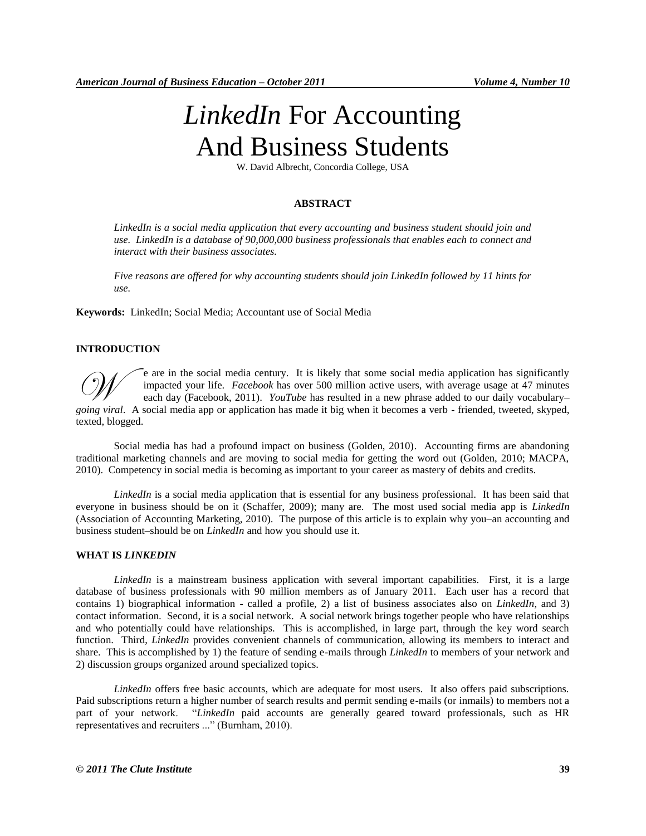# *LinkedIn* For Accounting And Business Students

W. David Albrecht, Concordia College, USA

## **ABSTRACT**

*LinkedIn is a social media application that every accounting and business student should join and use. LinkedIn is a database of 90,000,000 business professionals that enables each to connect and interact with their business associates.*

*Five reasons are offered for why accounting students should join LinkedIn followed by 11 hints for use.*

**Keywords:** LinkedIn; Social Media; Accountant use of Social Media

## **INTRODUCTION**

e are in the social media century. It is likely that some social media application has significantly impacted your life. *Facebook* has over 500 million active users, with average usage at 47 minutes each day (Facebook, 2011). *YouTube* has resulted in a new phrase added to our daily vocabulary– <sup>e</sup> are in the social media century. It is likely that some social media application has significantly impacted your life. *Facebook* has over 500 million active users, with average usage at 47 minutes each day (Facebook, texted, blogged.

Social media has had a profound impact on business (Golden, 2010). Accounting firms are abandoning traditional marketing channels and are moving to social media for getting the word out (Golden, 2010; MACPA, 2010). Competency in social media is becoming as important to your career as mastery of debits and credits.

*LinkedIn* is a social media application that is essential for any business professional. It has been said that everyone in business should be on it (Schaffer, 2009); many are. The most used social media app is *LinkedIn* (Association of Accounting Marketing, 2010). The purpose of this article is to explain why you–an accounting and business student–should be on *LinkedIn* and how you should use it.

#### **WHAT IS** *LINKEDIN*

*LinkedIn* is a mainstream business application with several important capabilities. First, it is a large database of business professionals with 90 million members as of January 2011. Each user has a record that contains 1) biographical information - called a profile, 2) a list of business associates also on *LinkedIn*, and 3) contact information. Second, it is a social network. A social network brings together people who have relationships and who potentially could have relationships. This is accomplished, in large part, through the key word search function. Third, *LinkedIn* provides convenient channels of communication, allowing its members to interact and share. This is accomplished by 1) the feature of sending e-mails through *LinkedIn* to members of your network and 2) discussion groups organized around specialized topics.

*LinkedIn* offers free basic accounts, which are adequate for most users. It also offers paid subscriptions. Paid subscriptions return a higher number of search results and permit sending e-mails (or inmails) to members not a part of your network. "*LinkedIn* paid accounts are generally geared toward professionals, such as HR representatives and recruiters ..." (Burnham, 2010).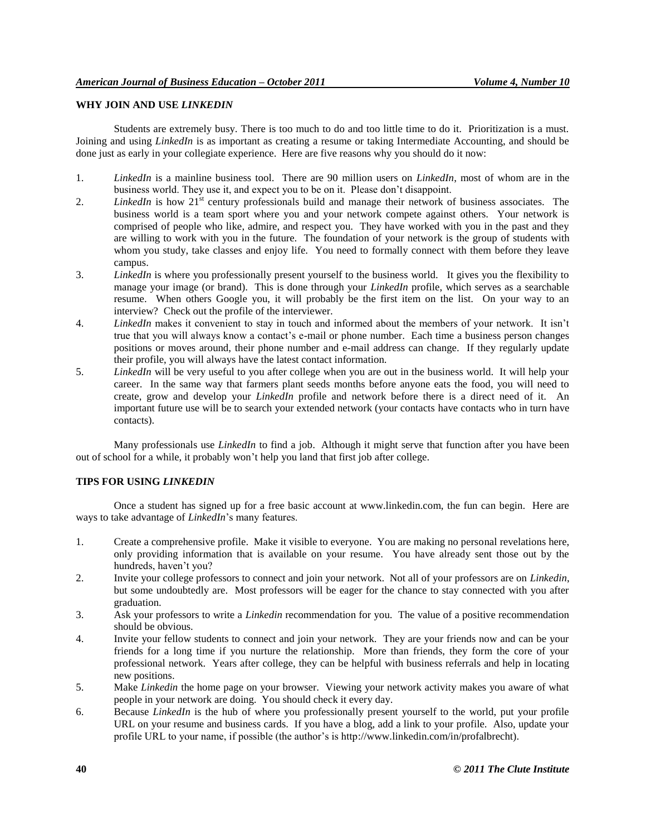## **WHY JOIN AND USE** *LINKEDIN*

Students are extremely busy. There is too much to do and too little time to do it. Prioritization is a must. Joining and using *LinkedIn* is as important as creating a resume or taking Intermediate Accounting, and should be done just as early in your collegiate experience. Here are five reasons why you should do it now:

- 1. *LinkedIn* is a mainline business tool. There are 90 million users on *LinkedIn*, most of whom are in the business world. They use it, and expect you to be on it. Please don't disappoint.
- 2. *LinkedIn* is how 21<sup>st</sup> century professionals build and manage their network of business associates. The business world is a team sport where you and your network compete against others. Your network is comprised of people who like, admire, and respect you. They have worked with you in the past and they are willing to work with you in the future. The foundation of your network is the group of students with whom you study, take classes and enjoy life. You need to formally connect with them before they leave campus.
- 3. *LinkedIn* is where you professionally present yourself to the business world. It gives you the flexibility to manage your image (or brand). This is done through your *LinkedIn* profile, which serves as a searchable resume. When others Google you, it will probably be the first item on the list. On your way to an interview? Check out the profile of the interviewer.
- 4. *LinkedIn* makes it convenient to stay in touch and informed about the members of your network. It isn't true that you will always know a contact's e-mail or phone number. Each time a business person changes positions or moves around, their phone number and e-mail address can change. If they regularly update their profile, you will always have the latest contact information.
- 5. *LinkedIn* will be very useful to you after college when you are out in the business world. It will help your career. In the same way that farmers plant seeds months before anyone eats the food, you will need to create, grow and develop your *LinkedIn* profile and network before there is a direct need of it. An important future use will be to search your extended network (your contacts have contacts who in turn have contacts).

Many professionals use *LinkedIn* to find a job. Although it might serve that function after you have been out of school for a while, it probably won't help you land that first job after college.

## **TIPS FOR USING** *LINKEDIN*

Once a student has signed up for a free basic account at www.linkedin.com, the fun can begin. Here are ways to take advantage of *LinkedIn*'s many features.

- 1. Create a comprehensive profile. Make it visible to everyone. You are making no personal revelations here, only providing information that is available on your resume. You have already sent those out by the hundreds, haven't you?
- 2. Invite your college professors to connect and join your network. Not all of your professors are on *Linkedin*, but some undoubtedly are. Most professors will be eager for the chance to stay connected with you after graduation.
- 3. Ask your professors to write a *Linkedin* recommendation for you. The value of a positive recommendation should be obvious.
- 4. Invite your fellow students to connect and join your network. They are your friends now and can be your friends for a long time if you nurture the relationship. More than friends, they form the core of your professional network. Years after college, they can be helpful with business referrals and help in locating new positions.
- 5. Make *Linkedin* the home page on your browser. Viewing your network activity makes you aware of what people in your network are doing. You should check it every day.
- 6. Because *LinkedIn* is the hub of where you professionally present yourself to the world, put your profile URL on your resume and business cards. If you have a blog, add a link to your profile. Also, update your profile URL to your name, if possible (the author's is http://www.linkedin.com/in/profalbrecht).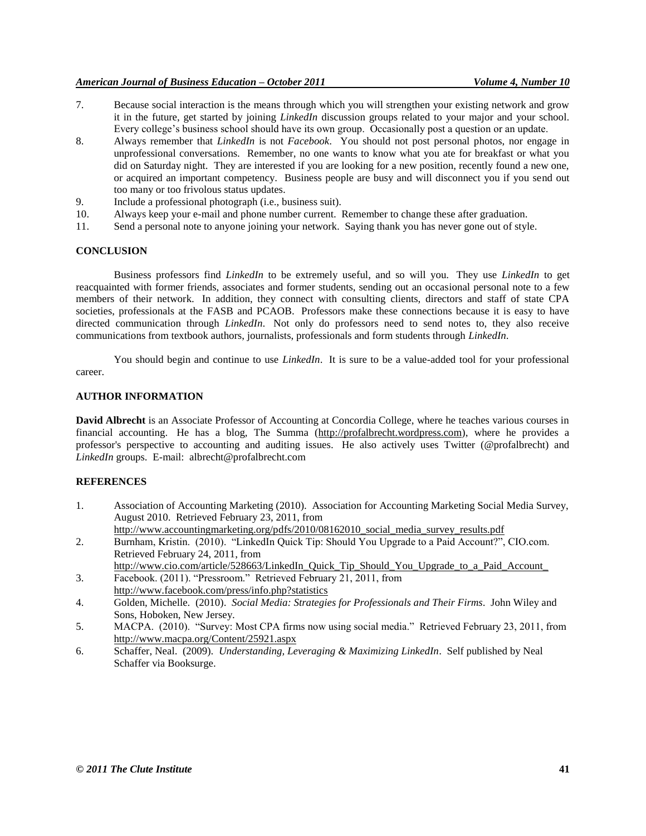## *American Journal of Business Education – October 2011 Volume 4, Number 10*

- 7. Because social interaction is the means through which you will strengthen your existing network and grow it in the future, get started by joining *LinkedIn* discussion groups related to your major and your school. Every college's business school should have its own group. Occasionally post a question or an update.
- 8. Always remember that *LinkedIn* is not *Facebook*. You should not post personal photos, nor engage in unprofessional conversations. Remember, no one wants to know what you ate for breakfast or what you did on Saturday night. They are interested if you are looking for a new position, recently found a new one, or acquired an important competency. Business people are busy and will disconnect you if you send out too many or too frivolous status updates.
- 9. Include a professional photograph (i.e., business suit).
- 10. Always keep your e-mail and phone number current. Remember to change these after graduation.
- 11. Send a personal note to anyone joining your network. Saying thank you has never gone out of style.

## **CONCLUSION**

Business professors find *LinkedIn* to be extremely useful, and so will you. They use *LinkedIn* to get reacquainted with former friends, associates and former students, sending out an occasional personal note to a few members of their network. In addition, they connect with consulting clients, directors and staff of state CPA societies, professionals at the FASB and PCAOB. Professors make these connections because it is easy to have directed communication through *LinkedIn*. Not only do professors need to send notes to, they also receive communications from textbook authors, journalists, professionals and form students through *LinkedIn*.

You should begin and continue to use *LinkedIn*. It is sure to be a value-added tool for your professional career.

#### **AUTHOR INFORMATION**

**David Albrecht** is an Associate Professor of Accounting at Concordia College, where he teaches various courses in financial accounting. He has a blog, The Summa [\(http://profalbrecht.wordpress.com\)](http://profalbrecht.wordpress.com/), where he provides a professor's perspective to accounting and auditing issues. He also actively uses Twitter (@profalbrecht) and *LinkedIn* groups. E-mail: albrecht@profalbrecht.com

## **REFERENCES**

- 1. Association of Accounting Marketing (2010). Association for Accounting Marketing Social Media Survey, August 2010. Retrieved February 23, 2011, from http://www.accountingmarketing.org/pdfs/2010/08162010\_social\_media\_survey\_results.pdf
- 2. Burnham, Kristin. (2010). "LinkedIn Quick Tip: Should You Upgrade to a Paid Account?", CIO.com. Retrieved February 24, 2011, from
- http://www.cio.com/article/528663/LinkedIn Quick Tip Should You Upgrade to a Paid Account 3. Facebook. (2011). "Pressroom." Retrieved February 21, 2011, from
- http://www.facebook.com/press/info.php?statistics
- 4. Golden, Michelle. (2010). *Social Media: Strategies for Professionals and Their Firms*. John Wiley and Sons, Hoboken, New Jersey.
- 5. MACPA. (2010). "Survey: Most CPA firms now using social media." Retrieved February 23, 2011, from http://www.macpa.org/Content/25921.aspx
- 6. Schaffer, Neal. (2009). *Understanding, Leveraging & Maximizing LinkedIn*. Self published by Neal Schaffer via Booksurge.